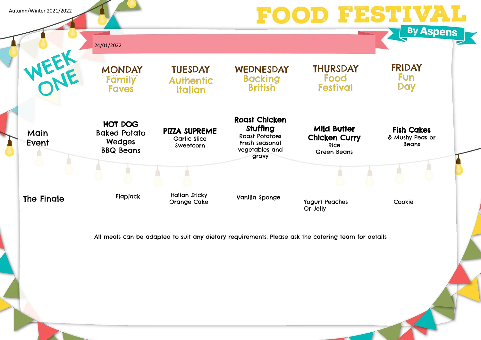## Fish Cakes & Mushy Peas or

Beans

All meals can be adapted to suit any dietary requirements. Please ask the catering team for details







Autumn/Winter 2021/2022



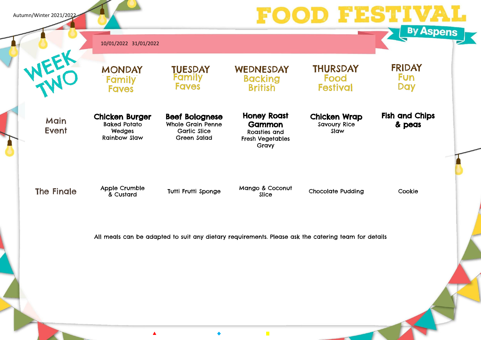**Main** Event Chicken Burger Baked Potato Wedges Rainbow Slaw

**Honey Roast Gammon** Roasties and Fresh Vegetables Gravy

Beef Bolognese Whole Grain Penne Garlic Slice Green Salad

Chicken Wrap Savoury Rice Slaw

**THURSDAY** 

Food

**Festival** 

The Finale Apple Crumble<br>& Custard

Tutti Frutti Sponge Mango & Coconut

 $\mathcal{L}_{\mathcal{A}}$ 

Chocolate Pudding Cookie

## Fish and Chips & peas

All meals can be adapted to suit any dietary requirements. Please ask the catering team for details





Autumn/Winter 2021/2022

10/01/2022 31/01/2022

**MONDAY** Family **Faves** 

**TUESDAY** Family **Faves** 

WEDNESDAY **Backing British**